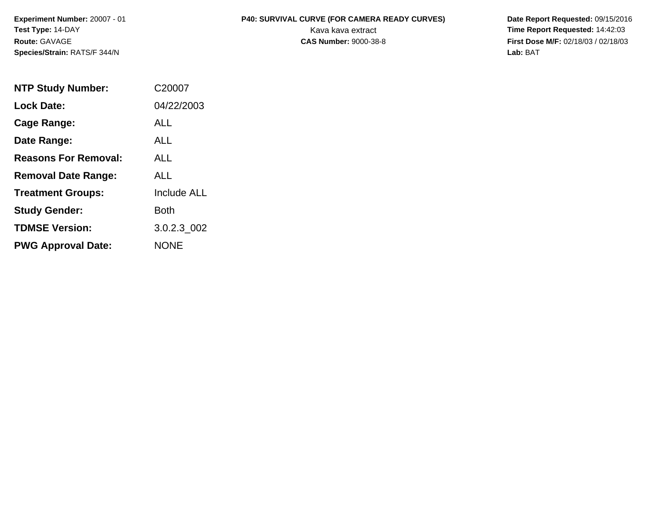**Species/Strain:** RATS/F 344/N **Lab:** BAT

## **Experiment Number:** 20007 - 01 **P40: SURVIVAL CURVE (FOR CAMERA READY CURVES) Date Report Requested:** 09/15/2016 **Test Type:** 14-DAY Kava kava extract **Time Report Requested:** 14:42:03

**Route:** GAVAGE **CAS Number:** 9000-38-8 **First Dose M/F:** 02/18/03 / 02/18/03

| <b>NTP Study Number:</b>    | C <sub>20007</sub> |
|-----------------------------|--------------------|
| <b>Lock Date:</b>           | 04/22/2003         |
| Cage Range:                 | <b>ALL</b>         |
| Date Range:                 | ALL                |
| <b>Reasons For Removal:</b> | ALL.               |
| <b>Removal Date Range:</b>  | AI L               |
| <b>Treatment Groups:</b>    | <b>Include ALL</b> |
| <b>Study Gender:</b>        | <b>Both</b>        |
| <b>TDMSE Version:</b>       | 3.0.2.3 002        |
| <b>PWG Approval Date:</b>   | <b>NONE</b>        |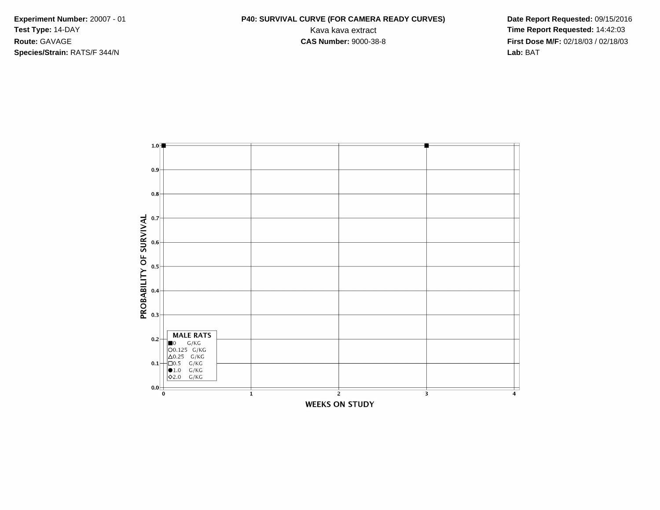**Species/Strain:** RATS/F 344/N **Lab:** BAT